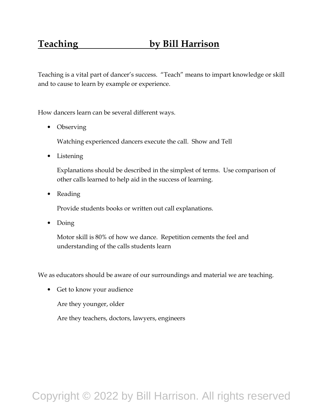## **Teaching by Bill Harrison**

Teaching is a vital part of dancer's success. "Teach" means to impart knowledge or skill and to cause to learn by example or experience.

How dancers learn can be several different ways.

• Observing

Watching experienced dancers execute the call. Show and Tell

• Listening

Explanations should be described in the simplest of terms. Use comparison of other calls learned to help aid in the success of learning.

• Reading

Provide students books or written out call explanations.

• Doing

Motor skill is 80% of how we dance. Repetition cements the feel and understanding of the calls students learn

We as educators should be aware of our surroundings and material we are teaching.

• Get to know your audience

Are they younger, older

Are they teachers, doctors, lawyers, engineers